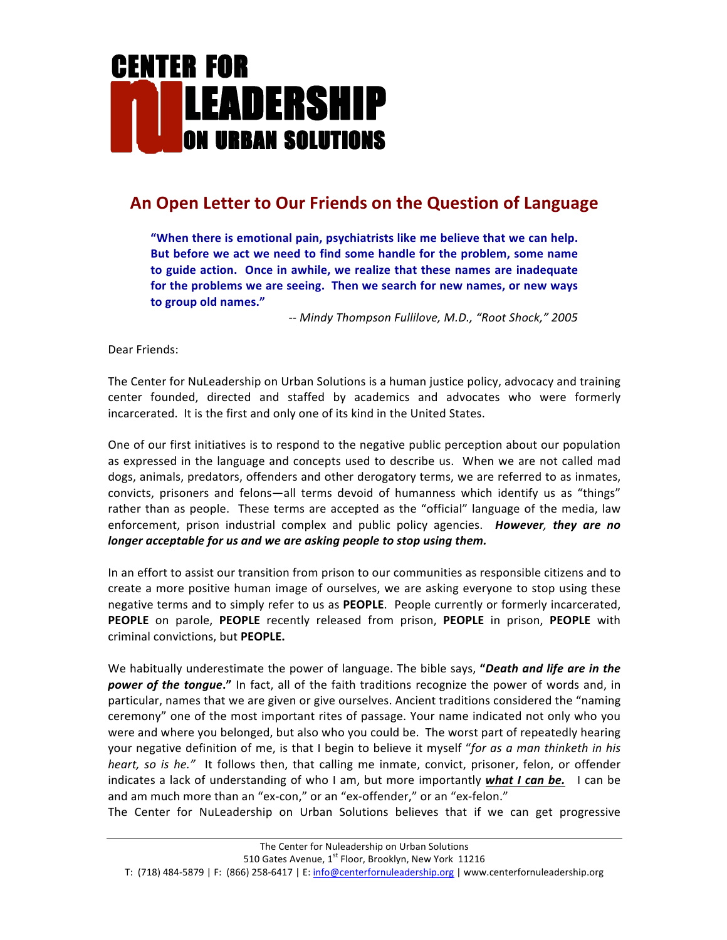# **CENTER FOR LEADERSHIP** ON URBAN SOLUTIONS

## An Open Letter to Our Friends on the Question of Language

"When there is emotional pain, psychiatrists like me believe that we can help. But before we act we need to find some handle for the problem, some name to guide action. Once in awhile, we realize that these names are inadequate for the problems we are seeing. Then we search for new names, or new ways to group old names."

*-- Mindy Thompson Fullilove, M.D., "Root Shock," 2005*

Dear Friends:

The Center for NuLeadership on Urban Solutions is a human justice policy, advocacy and training center founded, directed and staffed by academics and advocates who were formerly incarcerated. It is the first and only one of its kind in the United States.

One of our first initiatives is to respond to the negative public perception about our population as expressed in the language and concepts used to describe us. When we are not called mad dogs, animals, predators, offenders and other derogatory terms, we are referred to as inmates, convicts, prisoners and felons—all terms devoid of humanness which identify us as "things" rather than as people. These terms are accepted as the "official" language of the media, law enforcement, prison industrial complex and public policy agencies. *However, they are no longer acceptable for us and we are asking people to stop using them.* 

In an effort to assist our transition from prison to our communities as responsible citizens and to create a more positive human image of ourselves, we are asking everyone to stop using these negative terms and to simply refer to us as PEOPLE. People currently or formerly incarcerated, **PEOPLE** on parole, **PEOPLE** recently released from prison, **PEOPLE** in prison, **PEOPLE** with criminal convictions, but **PEOPLE.**

We habitually underestimate the power of language. The bible says, "**Death and life are in the power** of the tongue." In fact, all of the faith traditions recognize the power of words and, in particular, names that we are given or give ourselves. Ancient traditions considered the "naming ceremony" one of the most important rites of passage. Your name indicated not only who you were and where you belonged, but also who you could be. The worst part of repeatedly hearing your negative definition of me, is that I begin to believe it myself "for as a man thinketh in his *heart, so is he."* It follows then, that calling me inmate, convict, prisoner, felon, or offender indicates a lack of understanding of who I am, but more importantly *what I can be*. I can be and am much more than an "ex-con," or an "ex-offender," or an "ex-felon."

The Center for NuLeadership on Urban Solutions believes that if we can get progressive

T: (718) 484-5879 | F: (866) 258-6417 | E: info@centerfornuleadership.org | www.centerfornuleadership.org